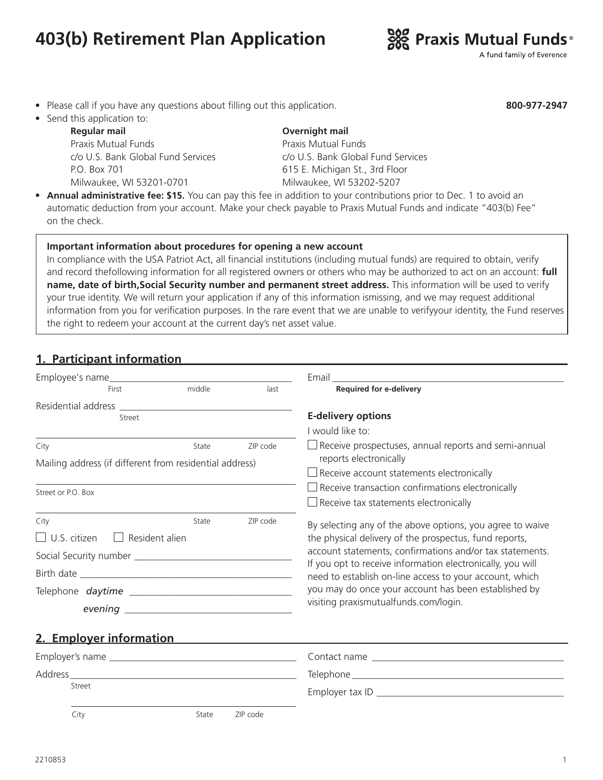# **403(b) Retirement Plan Application**



A fund family of Everence

**800-977-2947**

- Please call if you have any questions about filling out this application.
- Send this application to:

 **Regular mail Overnight mail** Praxis Mutual Funds<br>
Praxis Mutual Funds P.O. Box 701 615 E. Michigan St., 3rd Floor Milwaukee, WI 53201-0701 Milwaukee, WI 53202-5207

c/o U.S. Bank Global Fund Services c/o U.S. Bank Global Fund Services

• **Annual administrative fee: \$15.** You can pay this fee in addition to your contributions prior to Dec. 1 to avoid an automatic deduction from your account. Make your check payable to Praxis Mutual Funds and indicate "403(b) Fee" on the check.

#### **Important information about procedures for opening a new account**

In compliance with the USA Patriot Act, all financial institutions (including mutual funds) are required to obtain, verify and record thefollowing information for all registered owners or others who may be authorized to act on an account: **full name, date of birth,Social Security number and permanent street address.** This information will be used to verify your true identity. We will return your application if any of this information ismissing, and we may request additional information from you for verification purposes. In the rare event that we are unable to verifyyour identity, the Fund reserves the right to redeem your account at the current day's net asset value.

# **1. Participant information**

| Employee's name                                                                                                                     |        |          | Email and the contract of the contract of the contract of the contract of the contract of the contract of the                                                                                                                                                                                                                                                                                             |  |  |
|-------------------------------------------------------------------------------------------------------------------------------------|--------|----------|-----------------------------------------------------------------------------------------------------------------------------------------------------------------------------------------------------------------------------------------------------------------------------------------------------------------------------------------------------------------------------------------------------------|--|--|
| First                                                                                                                               | middle | last     | <b>Required for e-delivery</b>                                                                                                                                                                                                                                                                                                                                                                            |  |  |
|                                                                                                                                     |        |          |                                                                                                                                                                                                                                                                                                                                                                                                           |  |  |
| Street                                                                                                                              |        |          | <b>E-delivery options</b>                                                                                                                                                                                                                                                                                                                                                                                 |  |  |
|                                                                                                                                     |        |          | I would like to:                                                                                                                                                                                                                                                                                                                                                                                          |  |  |
| City                                                                                                                                | State  | ZIP code | $\Box$ Receive prospectuses, annual reports and semi-annual<br>reports electronically                                                                                                                                                                                                                                                                                                                     |  |  |
| Mailing address (if different from residential address)                                                                             |        |          | $\Box$ Receive account statements electronically                                                                                                                                                                                                                                                                                                                                                          |  |  |
| Street or P.O. Box                                                                                                                  |        |          | Receive transaction confirmations electronically                                                                                                                                                                                                                                                                                                                                                          |  |  |
|                                                                                                                                     |        |          | Receive tax statements electronically                                                                                                                                                                                                                                                                                                                                                                     |  |  |
| ZIP code<br>State<br>City<br>$\Box$ U.S. citizen<br>Resident alien<br>$\Box$<br>Telephone <i>daytime</i><br>2. Emplover information |        |          | By selecting any of the above options, you agree to waive<br>the physical delivery of the prospectus, fund reports,<br>account statements, confirmations and/or tax statements.<br>If you opt to receive information electronically, you will<br>need to establish on-line access to your account, which<br>you may do once your account has been established by<br>visiting praxismutualfunds.com/login. |  |  |
|                                                                                                                                     |        |          |                                                                                                                                                                                                                                                                                                                                                                                                           |  |  |
|                                                                                                                                     |        |          |                                                                                                                                                                                                                                                                                                                                                                                                           |  |  |
| Street                                                                                                                              |        |          |                                                                                                                                                                                                                                                                                                                                                                                                           |  |  |
| City                                                                                                                                | State  | ZIP code |                                                                                                                                                                                                                                                                                                                                                                                                           |  |  |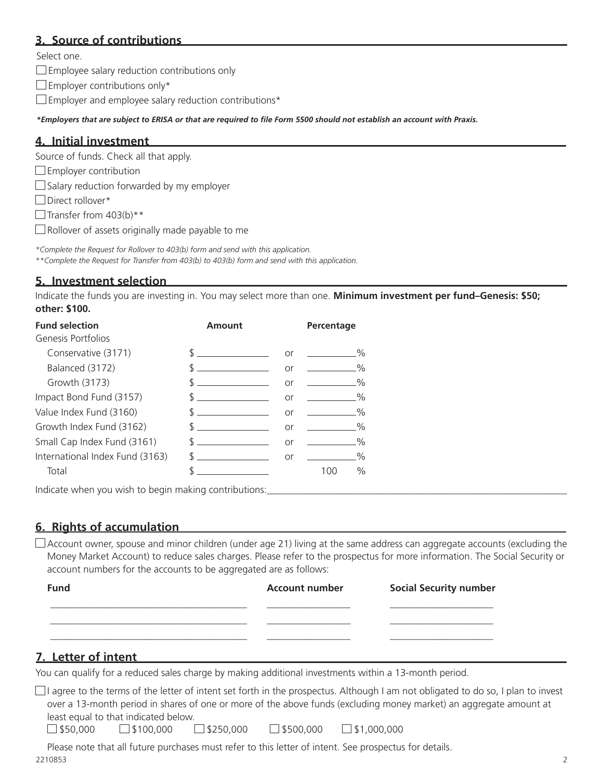## **3. Source of contributions**

Select one.

 $\square$  Employee salary reduction contributions only

 $\square$  Employer contributions only\*

 $\square$  Employer and employee salary reduction contributions\*

*\*Employers that are subject to ERISA or that are required to file Form 5500 should not establish an account with Praxis.*

#### **4. Initial investment**

Source of funds. Check all that apply.

 $\square$  Employer contribution

 $\Box$  Salary reduction forwarded by my employer

Direct rollover\*

 $\Box$  Transfer from 403(b)\*\*

 $\Box$  Rollover of assets originally made payable to me

*\*Complete the Request for Rollover to 403(b) form and send with this application. \*\*Complete the Request for Transfer from 403(b) to 403(b) form and send with this application.*

### **5. Investment selection**

Indicate the funds you are investing in. You may select more than one. **Minimum investment per fund–Genesis: \$50; other: \$100.** 

| <b>Fund selection</b><br>Genesis Portfolios | Amount        |    | Percentage    |
|---------------------------------------------|---------------|----|---------------|
| Conservative (3171)                         | $\sim$ $\sim$ | or | $\%$          |
| Balanced (3172)                             | $\mathbb{S}$  | or | $\%$          |
| Growth (3173)                               |               | or | $2\%$         |
| Impact Bond Fund (3157)                     |               | or | $\%$          |
| Value Index Fund (3160)                     |               | or | $\%$          |
| Growth Index Fund (3162)                    | $\mathbb{S}$  | or | $\frac{0}{2}$ |
| Small Cap Index Fund (3161)                 | $\mathcal{S}$ | or | $\%$          |
| International Index Fund (3163)             | $\sim$        | or | $\%$          |
| Total                                       |               |    | $\%$<br>100   |

Indicate when you wish to begin making contributions:

### **6. Rights of accumulation**

 $\Box$  Account owner, spouse and minor children (under age 21) living at the same address can aggregate accounts (excluding the Money Market Account) to reduce sales charges. Please refer to the prospectus for more information. The Social Security or account numbers for the accounts to be aggregated are as follows:

| <b>Fund</b> | <b>Account number</b> | <b>Social Security number</b> |
|-------------|-----------------------|-------------------------------|
|             |                       |                               |
|             |                       |                               |
|             |                       |                               |

### **7. Letter of intent**

You can qualify for a reduced sales charge by making additional investments within a 13-month period.

 $\Box$ I agree to the terms of the letter of intent set forth in the prospectus. Although I am not obligated to do so, I plan to invest over a 13-month period in shares of one or more of the above funds (excluding money market) an aggregate amount at least equal to that indicated below.

 $\Box$ \$50,000  $\Box$ \$100,000  $\Box$ \$250,000  $\Box$ \$500,000  $\Box$ \$1,000,000

2210853 2 Please note that all future purchases must refer to this letter of intent. See prospectus for details.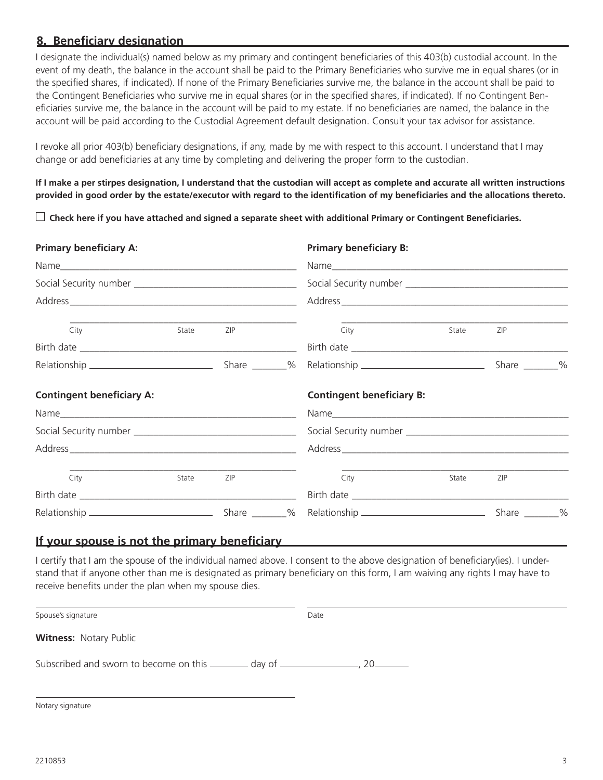### **8. Beneficiary designation**

I designate the individual(s) named below as my primary and contingent beneficiaries of this 403(b) custodial account. In the event of my death, the balance in the account shall be paid to the Primary Beneficiaries who survive me in equal shares (or in the specified shares, if indicated). If none of the Primary Beneficiaries survive me, the balance in the account shall be paid to the Contingent Beneficiaries who survive me in equal shares (or in the specified shares, if indicated). If no Contingent Beneficiaries survive me, the balance in the account will be paid to my estate. If no beneficiaries are named, the balance in the account will be paid according to the Custodial Agreement default designation. Consult your tax advisor for assistance.

I revoke all prior 403(b) beneficiary designations, if any, made by me with respect to this account. I understand that I may change or add beneficiaries at any time by completing and delivering the proper form to the custodian.

**If I make a per stirpes designation, I understand that the custodian will accept as complete and accurate all written instructions provided in good order by the estate/executor with regard to the identification of my beneficiaries and the allocations thereto.** 

 **Check here if you have attached and signed a separate sheet with additional Primary or Contingent Beneficiaries.**

| <b>Primary beneficiary A:</b>    |       |     | <b>Primary beneficiary B:</b><br>Address |                                  |       |            |      |       |     |  |      |       |     |  |  |
|----------------------------------|-------|-----|------------------------------------------|----------------------------------|-------|------------|------|-------|-----|--|------|-------|-----|--|--|
|                                  |       |     |                                          |                                  |       |            |      |       |     |  |      |       |     |  |  |
|                                  |       |     |                                          |                                  |       |            | City | State | ZIP |  | City | State | ZIP |  |  |
|                                  |       |     |                                          |                                  |       |            |      |       |     |  |      |       |     |  |  |
|                                  |       |     |                                          |                                  |       |            |      |       |     |  |      |       |     |  |  |
| <b>Contingent beneficiary A:</b> |       |     |                                          | <b>Contingent beneficiary B:</b> |       |            |      |       |     |  |      |       |     |  |  |
|                                  |       |     |                                          |                                  |       |            |      |       |     |  |      |       |     |  |  |
|                                  |       |     |                                          |                                  |       |            |      |       |     |  |      |       |     |  |  |
|                                  |       |     |                                          | Address                          |       |            |      |       |     |  |      |       |     |  |  |
| City                             | State | ZIP |                                          | City                             | State | <b>ZIP</b> |      |       |     |  |      |       |     |  |  |
|                                  |       |     |                                          |                                  |       |            |      |       |     |  |      |       |     |  |  |
|                                  |       |     |                                          |                                  |       |            |      |       |     |  |      |       |     |  |  |

#### **If your spouse is not the primary beneficiary**

I certify that I am the spouse of the individual named above. I consent to the above designation of beneficiary(ies). I understand that if anyone other than me is designated as primary beneficiary on this form, I am waiving any rights I may have to receive benefits under the plan when my spouse dies.

Spouse's signature Date

**Witness:** Notary Public

Subscribed and sworn to become on this day of , 20

Notary signature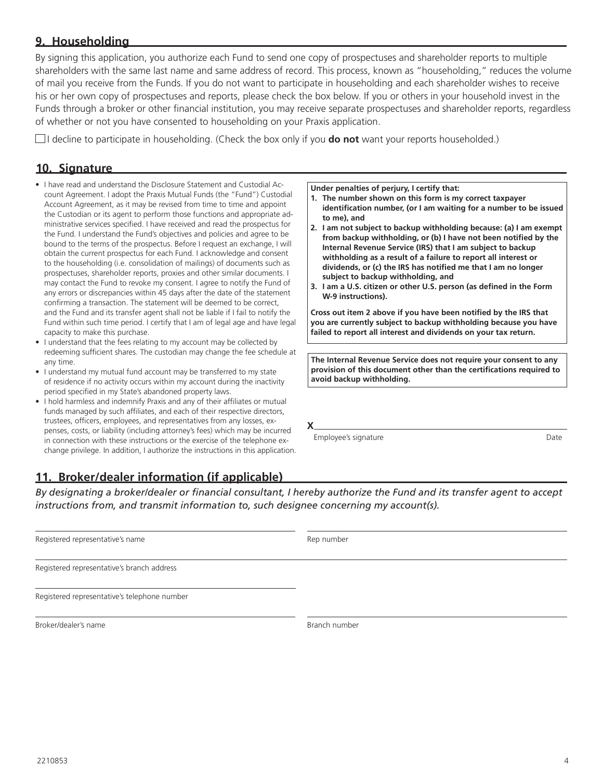#### **9. Householding**

By signing this application, you authorize each Fund to send one copy of prospectuses and shareholder reports to multiple shareholders with the same last name and same address of record. This process, known as "householding," reduces the volume of mail you receive from the Funds. If you do not want to participate in householding and each shareholder wishes to receive his or her own copy of prospectuses and reports, please check the box below. If you or others in your household invest in the Funds through a broker or other financial institution, you may receive separate prospectuses and shareholder reports, regardless of whether or not you have consented to householding on your Praxis application.

 $\Box$ I decline to participate in householding. (Check the box only if you **do not** want your reports householded.)

#### **10. Signature**

- I have read and understand the Disclosure Statement and Custodial Account Agreement. I adopt the Praxis Mutual Funds (the "Fund") Custodial Account Agreement, as it may be revised from time to time and appoint the Custodian or its agent to perform those functions and appropriate administrative services specified. I have received and read the prospectus for the Fund. I understand the Fund's objectives and policies and agree to be bound to the terms of the prospectus. Before I request an exchange, I will obtain the current prospectus for each Fund. I acknowledge and consent to the householding (i.e. consolidation of mailings) of documents such as prospectuses, shareholder reports, proxies and other similar documents. I may contact the Fund to revoke my consent. I agree to notify the Fund of any errors or discrepancies within 45 days after the date of the statement confirming a transaction. The statement will be deemed to be correct, and the Fund and its transfer agent shall not be liable if I fail to notify the Fund within such time period. I certify that I am of legal age and have legal capacity to make this purchase.
- I understand that the fees relating to my account may be collected by redeeming sufficient shares. The custodian may change the fee schedule at any time.
- I understand my mutual fund account may be transferred to my state of residence if no activity occurs within my account during the inactivity period specified in my State's abandoned property laws.
- I hold harmless and indemnify Praxis and any of their affiliates or mutual funds managed by such affiliates, and each of their respective directors, trustees, officers, employees, and representatives from any losses, expenses, costs, or liability (including attorney's fees) which may be incurred in connection with these instructions or the exercise of the telephone exchange privilege. In addition, I authorize the instructions in this application.

**Under penalties of perjury, I certify that:**

- **1. The number shown on this form is my correct taxpayer identification number, (or I am waiting for a number to be issued to me), and**
- **2. I am not subject to backup withholding because: (a) I am exempt from backup withholding, or (b) I have not been notified by the Internal Revenue Service (IRS) that I am subject to backup withholding as a result of a failure to report all interest or dividends, or (c) the IRS has notified me that I am no longer subject to backup withholding, and**
- **3. I am a U.S. citizen or other U.S. person (as defined in the Form W-9 instructions).**

**Cross out item 2 above if you have been notified by the IRS that you are currently subject to backup withholding because you have failed to report all interest and dividends on your tax return.**

**The Internal Revenue Service does not require your consent to any provision of this document other than the certifications required to avoid backup withholding.** 

Employee's signature Date

### **11. Broker/dealer information (if applicable)**

*By designating a broker/dealer or financial consultant, I hereby authorize the Fund and its transfer agent to accept instructions from, and transmit information to, such designee concerning my account(s).*

**X**

| Registered representative's name             | Rep number |
|----------------------------------------------|------------|
| Registered representative's branch address   |            |
| Registered representative's telephone number |            |

Broker/dealer's name Branch number